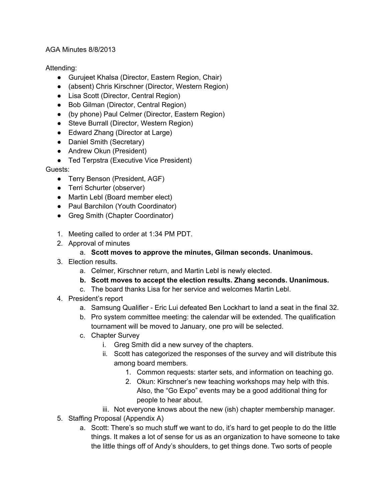## AGA Minutes 8/8/2013

# Attending:

- Gurujeet Khalsa (Director, Eastern Region, Chair)
- (absent) Chris Kirschner (Director, Western Region)
- Lisa Scott (Director, Central Region)
- Bob Gilman (Director, Central Region)
- (by phone) Paul Celmer (Director, Eastern Region)
- Steve Burrall (Director, Western Region)
- Edward Zhang (Director at Large)
- Daniel Smith (Secretary)
- Andrew Okun (President)
- Ted Terpstra (Executive Vice President)

# Guests:

- Terry Benson (President, AGF)
- Terri Schurter (observer)
- Martin Lebl (Board member elect)
- Paul Barchilon (Youth Coordinator)
- Greg Smith (Chapter Coordinator)
- 1. Meeting called to order at 1:34 PM PDT.
- 2. Approval of minutes

# a. **Scott moves to approve the minutes, Gilman seconds. Unanimous.**

- 3. Election results.
	- a. Celmer, Kirschner return, and Martin Lebl is newly elected.
	- **b. Scott moves to accept the election results. Zhang seconds. Unanimous.**
	- c. The board thanks Lisa for her service and welcomes Martin Lebl.
- 4. President's report
	- a. Samsung Qualifier Eric Lui defeated Ben Lockhart to land a seat in the final 32.
	- b. Pro system committee meeting: the calendar will be extended. The qualification tournament will be moved to January, one pro will be selected.
	- c. Chapter Survey
		- i. Greg Smith did a new survey of the chapters.
		- ii. Scott has categorized the responses of the survey and will distribute this among board members.
			- 1. Common requests: starter sets, and information on teaching go.
			- 2. Okun: Kirschner's new teaching workshops may help with this. Also, the "Go Expo" events may be a good additional thing for people to hear about.
		- iii. Not everyone knows about the new (ish) chapter membership manager.
- 5. Staffing Proposal (Appendix A)
	- a. Scott: There's so much stuff we want to do, it's hard to get people to do the little things. It makes a lot of sense for us as an organization to have someone to take the little things off of Andy's shoulders, to get things done. Two sorts of people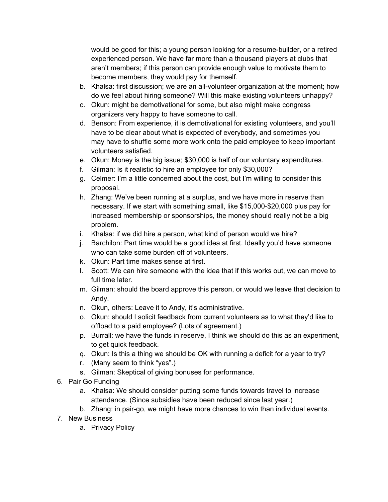would be good for this; a young person looking for a resume-builder, or a retired experienced person. We have far more than a thousand players at clubs that aren't members; if this person can provide enough value to motivate them to become members, they would pay for themself.

- b. Khalsa: first discussion; we are an all-volunteer organization at the moment; how do we feel about hiring someone? Will this make existing volunteers unhappy?
- c. Okun: might be demotivational for some, but also might make congress organizers very happy to have someone to call.
- d. Benson: From experience, it is demotivational for existing volunteers, and you'll have to be clear about what is expected of everybody, and sometimes you may have to shuffle some more work onto the paid employee to keep important volunteers satisfied.
- e. Okun: Money is the big issue; \$30,000 is half of our voluntary expenditures.
- f. Gilman: Is it realistic to hire an employee for only \$30,000?
- g. Celmer: I'm a little concerned about the cost, but I'm willing to consider this proposal.
- h. Zhang: We've been running at a surplus, and we have more in reserve than necessary. If we start with something small, like \$15,000-\$20,000 plus pay for increased membership or sponsorships, the money should really not be a big problem.
- i. Khalsa: if we did hire a person, what kind of person would we hire?
- j. Barchilon: Part time would be a good idea at first. Ideally you'd have someone who can take some burden off of volunteers.
- k. Okun: Part time makes sense at first.
- l. Scott: We can hire someone with the idea that if this works out, we can move to full time later.
- m. Gilman: should the board approve this person, or would we leave that decision to Andy.
- n. Okun, others: Leave it to Andy, it's administrative.
- o. Okun: should I solicit feedback from current volunteers as to what they'd like to offload to a paid employee? (Lots of agreement.)
- p. Burrall: we have the funds in reserve, I think we should do this as an experiment, to get quick feedback.
- q. Okun: Is this a thing we should be OK with running a deficit for a year to try?
- r. (Many seem to think "yes".)
- s. Gilman: Skeptical of giving bonuses for performance.
- 6. Pair Go Funding
	- a. Khalsa: We should consider putting some funds towards travel to increase attendance. (Since subsidies have been reduced since last year.)
	- b. Zhang: in pair-go, we might have more chances to win than individual events.
- 7. New Business
	- a. Privacy Policy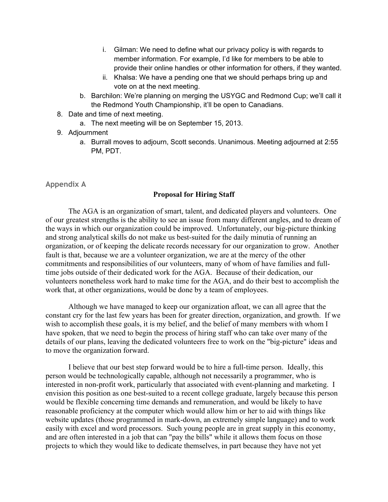- i. Gilman: We need to define what our privacy policy is with regards to member information. For example, I'd like for members to be able to provide their online handles or other information for others, if they wanted.
- ii. Khalsa: We have a pending one that we should perhaps bring up and vote on at the next meeting.
- b. Barchilon: We're planning on merging the USYGC and Redmond Cup; we'll call it the Redmond Youth Championship, it'll be open to Canadians.
- 8. Date and time of next meeting.
	- a. The next meeting will be on September 15, 2013.
- 9. Adjournment
	- a. Burrall moves to adjourn, Scott seconds. Unanimous. Meeting adjourned at 2:55 PM, PDT.

# **Appendix A**

## **Proposal for Hiring Staff**

The AGA is an organization of smart, talent, and dedicated players and volunteers. One of our greatest strengths is the ability to see an issue from many different angles, and to dream of the ways in which our organization could be improved. Unfortunately, our big-picture thinking and strong analytical skills do not make us best-suited for the daily minutia of running an organization, or of keeping the delicate records necessary for our organization to grow. Another fault is that, because we are a volunteer organization, we are at the mercy of the other commitments and responsibilities of our volunteers, many of whom of have families and fulltime jobs outside of their dedicated work for the AGA. Because of their dedication, our volunteers nonetheless work hard to make time for the AGA, and do their best to accomplish the work that, at other organizations, would be done by a team of employees.

Although we have managed to keep our organization afloat, we can all agree that the constant cry for the last few years has been for greater direction, organization, and growth. If we wish to accomplish these goals, it is my belief, and the belief of many members with whom I have spoken, that we need to begin the process of hiring staff who can take over many of the details of our plans, leaving the dedicated volunteers free to work on the "big-picture" ideas and to move the organization forward.

I believe that our best step forward would be to hire a full-time person. Ideally, this person would be technologically capable, although not necessarily a programmer, who is interested in non-profit work, particularly that associated with event-planning and marketing. I envision this position as one best-suited to a recent college graduate, largely because this person would be flexible concerning time demands and remuneration, and would be likely to have reasonable proficiency at the computer which would allow him or her to aid with things like website updates (those programmed in mark-down, an extremely simple language) and to work easily with excel and word processors. Such young people are in great supply in this economy, and are often interested in a job that can "pay the bills" while it allows them focus on those projects to which they would like to dedicate themselves, in part because they have not yet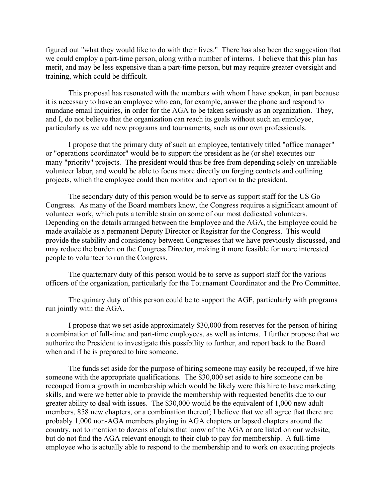figured out "what they would like to do with their lives." There has also been the suggestion that we could employ a part-time person, along with a number of interns. I believe that this plan has merit, and may be less expensive than a part-time person, but may require greater oversight and training, which could be difficult.

This proposal has resonated with the members with whom I have spoken, in part because it is necessary to have an employee who can, for example, answer the phone and respond to mundane email inquiries, in order for the AGA to be taken seriously as an organization. They, and I, do not believe that the organization can reach its goals without such an employee, particularly as we add new programs and tournaments, such as our own professionals.

I propose that the primary duty of such an employee, tentatively titled "office manager" or "operations coordinator" would be to support the president as he (or she) executes our many "priority" projects. The president would thus be free from depending solely on unreliable volunteer labor, and would be able to focus more directly on forging contacts and outlining projects, which the employee could then monitor and report on to the president.

The secondary duty of this person would be to serve as support staff for the US Go Congress. As many of the Board members know, the Congress requires a significant amount of volunteer work, which puts a terrible strain on some of our most dedicated volunteers. Depending on the details arranged between the Employee and the AGA, the Employee could be made available as a permanent Deputy Director or Registrar for the Congress. This would provide the stability and consistency between Congresses that we have previously discussed, and may reduce the burden on the Congress Director, making it more feasible for more interested people to volunteer to run the Congress.

The quarternary duty of this person would be to serve as support staff for the various officers of the organization, particularly for the Tournament Coordinator and the Pro Committee.

The quinary duty of this person could be to support the AGF, particularly with programs run jointly with the AGA.

I propose that we set aside approximately \$30,000 from reserves for the person of hiring a combination of full-time and part-time employees, as well as interns. I further propose that we authorize the President to investigate this possibility to further, and report back to the Board when and if he is prepared to hire someone.

The funds set aside for the purpose of hiring someone may easily be recouped, if we hire someone with the appropriate qualifications. The \$30,000 set aside to hire someone can be recouped from a growth in membership which would be likely were this hire to have marketing skills, and were we better able to provide the membership with requested benefits due to our greater ability to deal with issues. The \$30,000 would be the equivalent of 1,000 new adult members, 858 new chapters, or a combination thereof; I believe that we all agree that there are probably 1,000 non-AGA members playing in AGA chapters or lapsed chapters around the country, not to mention to dozens of clubs that know of the AGA or are listed on our website, but do not find the AGA relevant enough to their club to pay for membership. A full-time employee who is actually able to respond to the membership and to work on executing projects